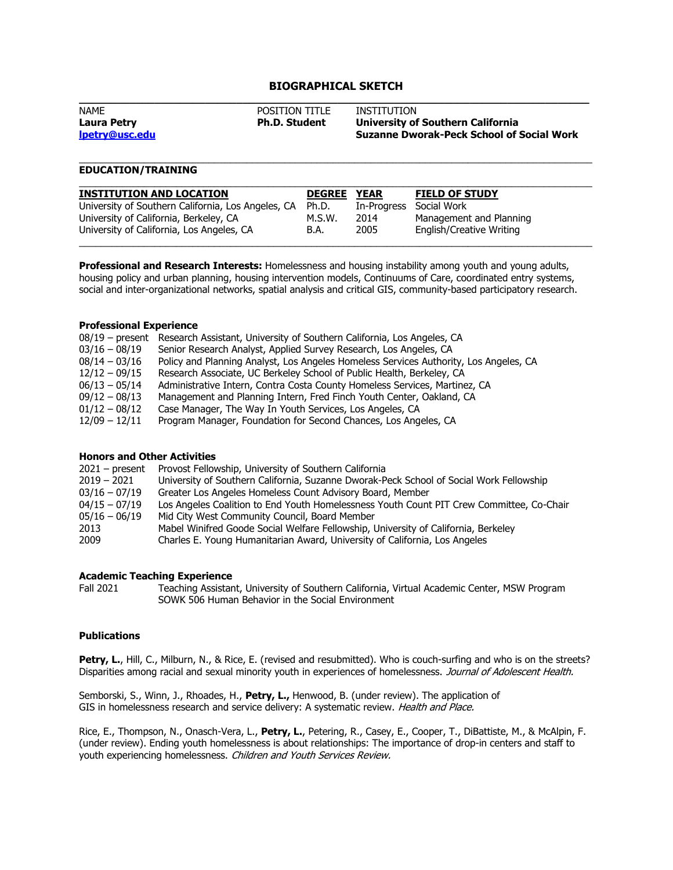# **BIOGRAPHICAL SKETCH**

| <b>NAME</b>    | <b>POSITION TITLE</b> | INSTITUTION                                      |  |  |
|----------------|-----------------------|--------------------------------------------------|--|--|
| Laura Petry    | <b>Ph.D. Student</b>  | <b>University of Southern California</b>         |  |  |
| lpetry@usc.edu |                       | <b>Suzanne Dworak-Peck School of Social Work</b> |  |  |
|                |                       |                                                  |  |  |

\_\_\_\_\_\_\_\_\_\_\_\_\_\_\_\_\_\_\_\_\_\_\_\_\_\_\_\_\_\_\_\_\_\_\_\_\_\_\_\_\_\_\_\_\_\_\_\_\_\_\_\_\_\_\_\_\_\_\_\_\_\_\_\_\_\_\_\_\_\_\_\_\_\_\_\_\_\_\_\_\_\_\_\_\_\_\_\_\_\_\_\_\_\_\_

# **EDUCATION/TRAINING**

| <b>INSTITUTION AND LOCATION</b>                    | <b>DEGREE</b> | <b>YEAR</b> | <b>FIELD OF STUDY</b>    |
|----------------------------------------------------|---------------|-------------|--------------------------|
| University of Southern California, Los Angeles, CA | Ph.D.         | In-Progress | Social Work              |
| University of California, Berkeley, CA             | M.S.W.        | 2014        | Management and Planning  |
| University of California, Los Angeles, CA          | B.A.          | 2005        | English/Creative Writing |

**Professional and Research Interests:** Homelessness and housing instability among youth and young adults, housing policy and urban planning, housing intervention models, Continuums of Care, coordinated entry systems, social and inter-organizational networks, spatial analysis and critical GIS, community-based participatory research.

# **Professional Experience**

| 08/19 – present Research Assistant, University of Southern California, Los Angeles, CA |
|----------------------------------------------------------------------------------------|
| Senior Research Analyst, Applied Survey Research, Los Angeles, CA                      |
| Policy and Planning Analyst, Los Angeles Homeless Services Authority, Los Angeles, CA  |
| Research Associate, UC Berkeley School of Public Health, Berkeley, CA                  |
| Administrative Intern, Contra Costa County Homeless Services, Martinez, CA             |
| Management and Planning Intern, Fred Finch Youth Center, Oakland, CA                   |
| Case Manager, The Way In Youth Services, Los Angeles, CA                               |
| Program Manager, Foundation for Second Chances, Los Angeles, CA                        |
|                                                                                        |

## **Honors and Other Activities**

| Provost Fellowship, University of Southern California                                    |
|------------------------------------------------------------------------------------------|
| University of Southern California, Suzanne Dworak-Peck School of Social Work Fellowship  |
| Greater Los Angeles Homeless Count Advisory Board, Member                                |
| Los Angeles Coalition to End Youth Homelessness Youth Count PIT Crew Committee, Co-Chair |
| Mid City West Community Council, Board Member                                            |
| Mabel Winifred Goode Social Welfare Fellowship, University of California, Berkeley       |
| Charles E. Young Humanitarian Award, University of California, Los Angeles               |
|                                                                                          |

# **Academic Teaching Experience**

Fall 2021 Teaching Assistant, University of Southern California, Virtual Academic Center, MSW Program SOWK 506 Human Behavior in the Social Environment

# **Publications**

Petry, L., Hill, C., Milburn, N., & Rice, E. (revised and resubmitted). Who is couch-surfing and who is on the streets? Disparities among racial and sexual minority youth in experiences of homelessness. Journal of Adolescent Health.

Semborski, S., Winn, J., Rhoades, H., **Petry, L.,** Henwood, B. (under review). The application of GIS in homelessness research and service delivery: A systematic review. Health and Place.

Rice, E., Thompson, N., Onasch-Vera, L., **Petry, L.**, Petering, R., Casey, E., Cooper, T., DiBattiste, M., & McAlpin, F. (under review). Ending youth homelessness is about relationships: The importance of drop-in centers and staff to youth experiencing homelessness. Children and Youth Services Review.